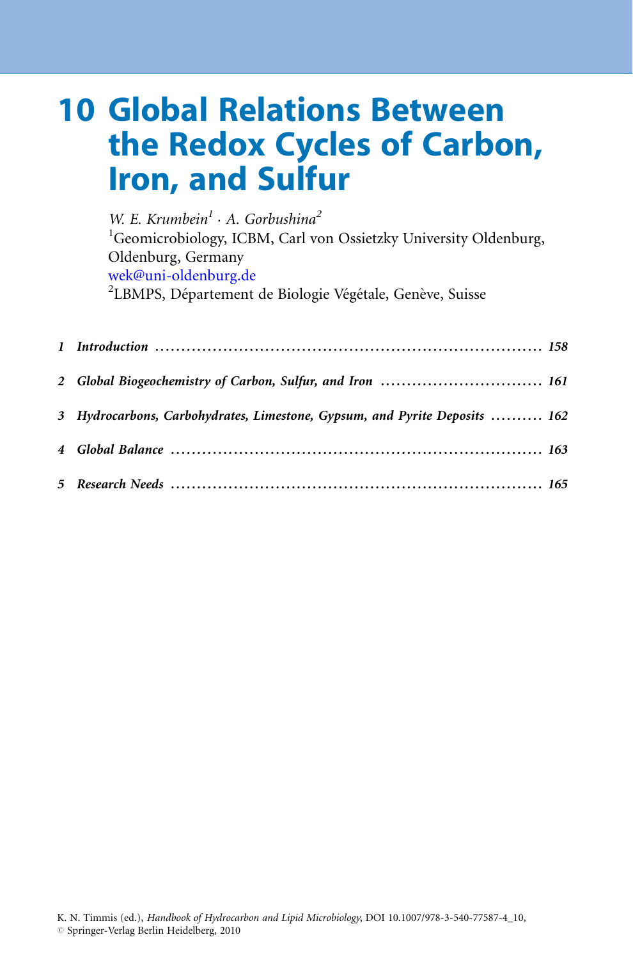# 10 Global Relations Between the Redox Cycles of Carbon, Iron, and Sulfur

W. E. Krumbein<sup>1</sup> · A. Gorbushina<sup>2</sup> <sup>1</sup>Geomicrobiology, ICBM, Carl von Ossietzky University Oldenburg, Oldenburg, Germany [wek@uni-oldenburg.de](mailto:wek@uni-oldenburg.de) <sup>2</sup>LBMPS, Département de Biologie Végétale, Genève, Suisse

| 3 Hydrocarbons, Carbohydrates, Limestone, Gypsum, and Pyrite Deposits  162 |  |
|----------------------------------------------------------------------------|--|
|                                                                            |  |
|                                                                            |  |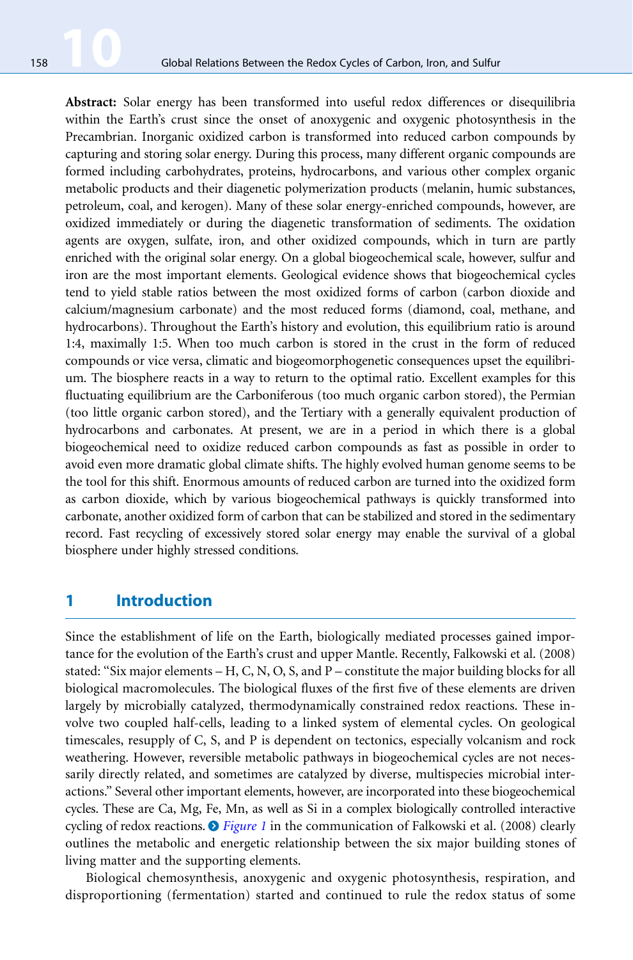Abstract: Solar energy has been transformed into useful redox differences or disequilibria within the Earth's crust since the onset of anoxygenic and oxygenic photosynthesis in the Precambrian. Inorganic oxidized carbon is transformed into reduced carbon compounds by capturing and storing solar energy. During this process, many different organic compounds are formed including carbohydrates, proteins, hydrocarbons, and various other complex organic metabolic products and their diagenetic polymerization products (melanin, humic substances, petroleum, coal, and kerogen). Many of these solar energy-enriched compounds, however, are oxidized immediately or during the diagenetic transformation of sediments. The oxidation agents are oxygen, sulfate, iron, and other oxidized compounds, which in turn are partly enriched with the original solar energy. On a global biogeochemical scale, however, sulfur and iron are the most important elements. Geological evidence shows that biogeochemical cycles tend to yield stable ratios between the most oxidized forms of carbon (carbon dioxide and calcium/magnesium carbonate) and the most reduced forms (diamond, coal, methane, and hydrocarbons). Throughout the Earth's history and evolution, this equilibrium ratio is around 1:4, maximally 1:5. When too much carbon is stored in the crust in the form of reduced compounds or vice versa, climatic and biogeomorphogenetic consequences upset the equilibrium. The biosphere reacts in a way to return to the optimal ratio. Excellent examples for this fluctuating equilibrium are the Carboniferous (too much organic carbon stored), the Permian (too little organic carbon stored), and the Tertiary with a generally equivalent production of hydrocarbons and carbonates. At present, we are in a period in which there is a global biogeochemical need to oxidize reduced carbon compounds as fast as possible in order to avoid even more dramatic global climate shifts. The highly evolved human genome seems to be the tool for this shift. Enormous amounts of reduced carbon are turned into the oxidized form as carbon dioxide, which by various biogeochemical pathways is quickly transformed into carbonate, another oxidized form of carbon that can be stabilized and stored in the sedimentary record. Fast recycling of excessively stored solar energy may enable the survival of a global biosphere under highly stressed conditions.

# 1 Introduction

Since the establishment of life on the Earth, biologically mediated processes gained importance for the evolution of the Earth's crust and upper Mantle. Recently, Falkowski et al. (2008) stated: "Six major elements - H, C, N, O, S, and P - constitute the major building blocks for all biological macromolecules. The biological fluxes of the first five of these elements are driven largely by microbially catalyzed, thermodynamically constrained redox reactions. These involve two coupled half-cells, leading to a linked system of elemental cycles. On geological timescales, resupply of C, S, and P is dependent on tectonics, especially volcanism and rock weathering. However, reversible metabolic pathways in biogeochemical cycles are not necessarily directly related, and sometimes are catalyzed by diverse, multispecies microbial interactions.'' Several other important elements, however, are incorporated into these biogeochemical cycles. These are Ca, Mg, Fe, Mn, as well as Si in a complex biologically controlled interactive cycling of redox reactions.  $\bullet$  [Figure 1](#page-2-0) in the communication of Falkowski et al. (2008) clearly outlines the metabolic and energetic relationship between the six major building stones of living matter and the supporting elements.

Biological chemosynthesis, anoxygenic and oxygenic photosynthesis, respiration, and disproportioning (fermentation) started and continued to rule the redox status of some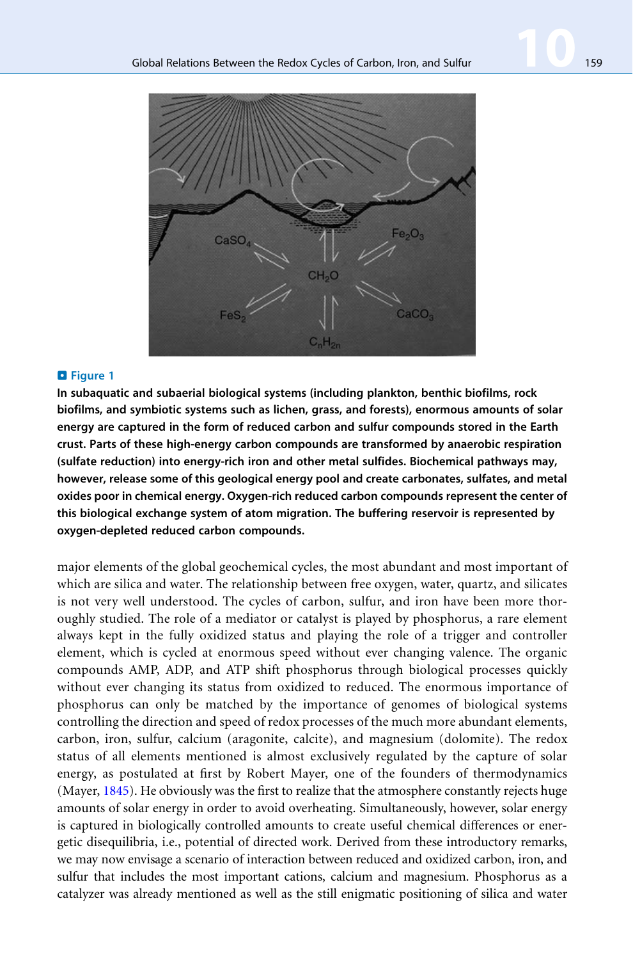<span id="page-2-0"></span>

In subaquatic and subaerial biological systems (including plankton, benthic biofilms, rock biofilms, and symbiotic systems such as lichen, grass, and forests), enormous amounts of solar energy are captured in the form of reduced carbon and sulfur compounds stored in the Earth crust. Parts of these high-energy carbon compounds are transformed by anaerobic respiration (sulfate reduction) into energy-rich iron and other metal sulfides. Biochemical pathways may, however, release some of this geological energy pool and create carbonates, sulfates, and metal oxides poor in chemical energy. Oxygen-rich reduced carbon compounds represent the center of this biological exchange system of atom migration. The buffering reservoir is represented by oxygen-depleted reduced carbon compounds.

major elements of the global geochemical cycles, the most abundant and most important of which are silica and water. The relationship between free oxygen, water, quartz, and silicates is not very well understood. The cycles of carbon, sulfur, and iron have been more thoroughly studied. The role of a mediator or catalyst is played by phosphorus, a rare element always kept in the fully oxidized status and playing the role of a trigger and controller element, which is cycled at enormous speed without ever changing valence. The organic compounds AMP, ADP, and ATP shift phosphorus through biological processes quickly without ever changing its status from oxidized to reduced. The enormous importance of phosphorus can only be matched by the importance of genomes of biological systems controlling the direction and speed of redox processes of the much more abundant elements, carbon, iron, sulfur, calcium (aragonite, calcite), and magnesium (dolomite). The redox status of all elements mentioned is almost exclusively regulated by the capture of solar energy, as postulated at first by Robert Mayer, one of the founders of thermodynamics (Mayer, [1845\)](#page-12-0). He obviously was the first to realize that the atmosphere constantly rejects huge amounts of solar energy in order to avoid overheating. Simultaneously, however, solar energy is captured in biologically controlled amounts to create useful chemical differences or energetic disequilibria, i.e., potential of directed work. Derived from these introductory remarks, we may now envisage a scenario of interaction between reduced and oxidized carbon, iron, and sulfur that includes the most important cations, calcium and magnesium. Phosphorus as a catalyzer was already mentioned as well as the still enigmatic positioning of silica and water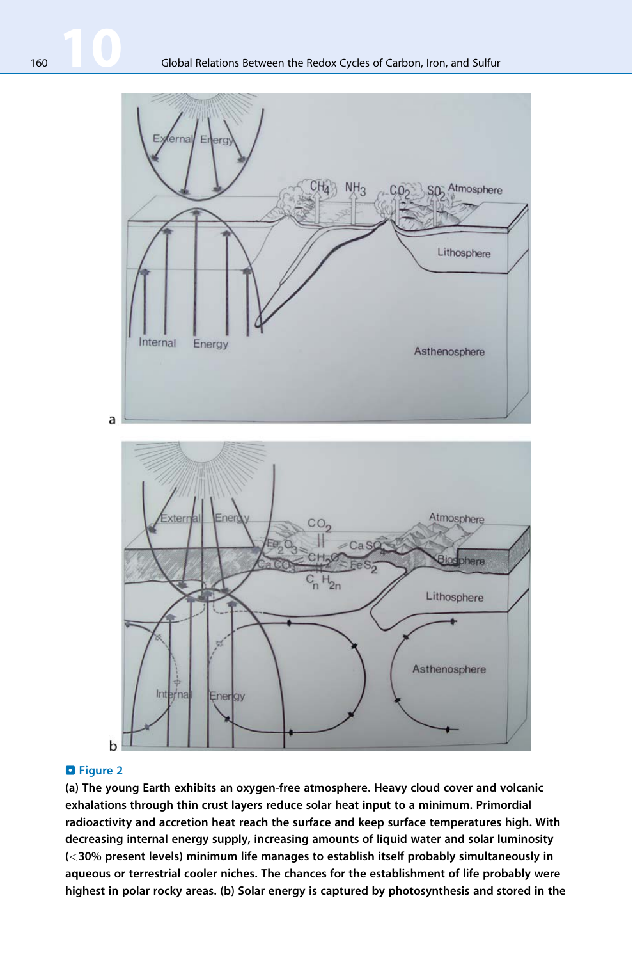<span id="page-3-0"></span>

(a) The young Earth exhibits an oxygen-free atmosphere. Heavy cloud cover and volcanic exhalations through thin crust layers reduce solar heat input to a minimum. Primordial radioactivity and accretion heat reach the surface and keep surface temperatures high. With decreasing internal energy supply, increasing amounts of liquid water and solar luminosity (<30% present levels) minimum life manages to establish itself probably simultaneously in aqueous or terrestrial cooler niches. The chances for the establishment of life probably were highest in polar rocky areas. (b) Solar energy is captured by photosynthesis and stored in the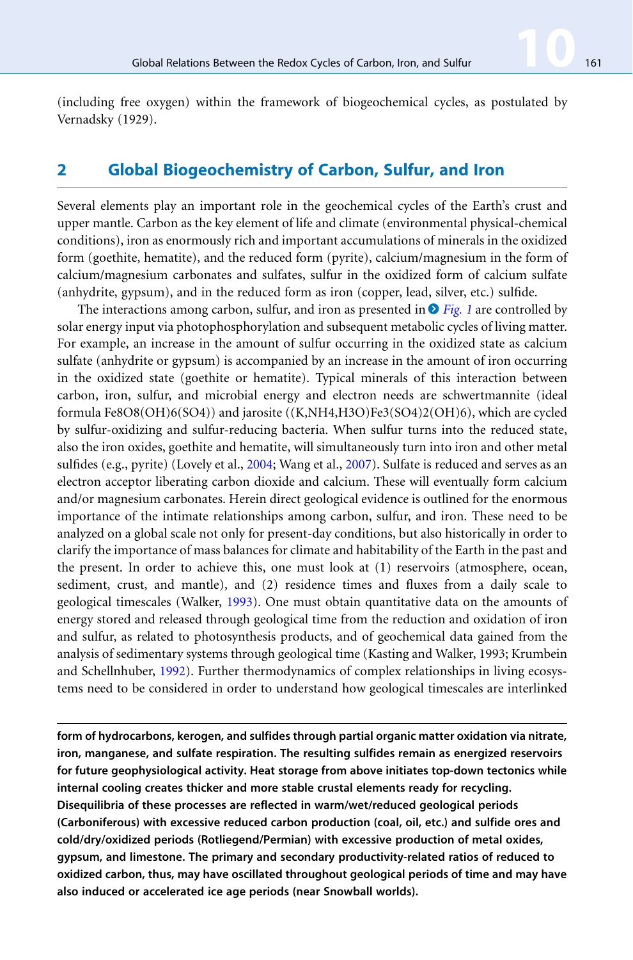(including free oxygen) within the framework of biogeochemical cycles, as postulated by Vernadsky (1929).

# 2 Global Biogeochemistry of Carbon, Sulfur, and Iron

Several elements play an important role in the geochemical cycles of the Earth's crust and upper mantle. Carbon as the key element of life and climate (environmental physical-chemical conditions), iron as enormously rich and important accumulations of minerals in the oxidized form (goethite, hematite), and the reduced form (pyrite), calcium/magnesium in the form of calcium/magnesium carbonates and sulfates, sulfur in the oxidized form of calcium sulfate (anhydrite, gypsum), and in the reduced form as iron (copper, lead, silver, etc.) sulfide.

The interactions among carbon, sulfur, and iron as presented in  $\bullet$  [Fig. 1](#page-2-0) are controlled by solar energy input via photophosphorylation and subsequent metabolic cycles of living matter. For example, an increase in the amount of sulfur occurring in the oxidized state as calcium sulfate (anhydrite or gypsum) is accompanied by an increase in the amount of iron occurring in the oxidized state (goethite or hematite). Typical minerals of this interaction between carbon, iron, sulfur, and microbial energy and electron needs are schwertmannite (ideal formula Fe8O8(OH)6(SO4)) and jarosite ((K,NH4,H3O)Fe3(SO4)2(OH)6), which are cycled by sulfur-oxidizing and sulfur-reducing bacteria. When sulfur turns into the reduced state, also the iron oxides, goethite and hematite, will simultaneously turn into iron and other metal sulfides (e.g., pyrite) (Lovely et al., [2004](#page-12-0); Wang et al., [2007](#page-12-0)). Sulfate is reduced and serves as an electron acceptor liberating carbon dioxide and calcium. These will eventually form calcium and/or magnesium carbonates. Herein direct geological evidence is outlined for the enormous importance of the intimate relationships among carbon, sulfur, and iron. These need to be analyzed on a global scale not only for present-day conditions, but also historically in order to clarify the importance of mass balances for climate and habitability of the Earth in the past and the present. In order to achieve this, one must look at (1) reservoirs (atmosphere, ocean, sediment, crust, and mantle), and (2) residence times and fluxes from a daily scale to geological timescales (Walker, [1993](#page-12-0)). One must obtain quantitative data on the amounts of energy stored and released through geological time from the reduction and oxidation of iron and sulfur, as related to photosynthesis products, and of geochemical data gained from the analysis of sedimentary systems through geological time (Kasting and Walker, 1993; Krumbein and Schellnhuber, [1992\)](#page-12-0). Further thermodynamics of complex relationships in living ecosystems need to be considered in order to understand how geological timescales are interlinked

form of hydrocarbons, kerogen, and sulfides through partial organic matter oxidation via nitrate, iron, manganese, and sulfate respiration. The resulting sulfides remain as energized reservoirs for future geophysiological activity. Heat storage from above initiates top-down tectonics while internal cooling creates thicker and more stable crustal elements ready for recycling. Disequilibria of these processes are reflected in warm/wet/reduced geological periods (Carboniferous) with excessive reduced carbon production (coal, oil, etc.) and sulfide ores and cold/dry/oxidized periods (Rotliegend/Permian) with excessive production of metal oxides, gypsum, and limestone. The primary and secondary productivity-related ratios of reduced to oxidized carbon, thus, may have oscillated throughout geological periods of time and may have also induced or accelerated ice age periods (near Snowball worlds).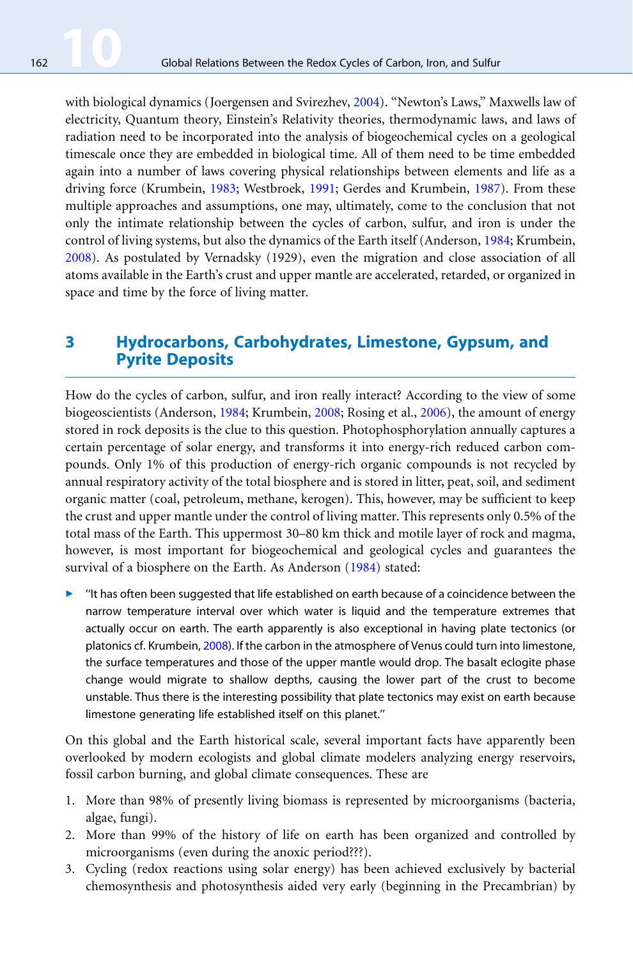with biological dynamics (Joergensen and Svirezhev, [2004\)](#page-12-0). ''Newton's Laws,'' Maxwells law of electricity, Quantum theory, Einstein's Relativity theories, thermodynamic laws, and laws of radiation need to be incorporated into the analysis of biogeochemical cycles on a geological timescale once they are embedded in biological time. All of them need to be time embedded again into a number of laws covering physical relationships between elements and life as a driving force (Krumbein, [1983;](#page-12-0) Westbroek, [1991;](#page-12-0) Gerdes and Krumbein, [1987\)](#page-12-0). From these multiple approaches and assumptions, one may, ultimately, come to the conclusion that not only the intimate relationship between the cycles of carbon, sulfur, and iron is under the control of living systems, but also the dynamics of the Earth itself (Anderson, [1984](#page-11-0); Krumbein, [2008](#page-12-0)). As postulated by Vernadsky (1929), even the migration and close association of all atoms available in the Earth's crust and upper mantle are accelerated, retarded, or organized in space and time by the force of living matter.

# 3 Hydrocarbons, Carbohydrates, Limestone, Gypsum, and Pyrite Deposits

How do the cycles of carbon, sulfur, and iron really interact? According to the view of some biogeoscientists (Anderson, [1984](#page-11-0); Krumbein, [2008;](#page-12-0) Rosing et al., [2006](#page-12-0)), the amount of energy stored in rock deposits is the clue to this question. Photophosphorylation annually captures a certain percentage of solar energy, and transforms it into energy-rich reduced carbon compounds. Only 1% of this production of energy-rich organic compounds is not recycled by annual respiratory activity of the total biosphere and is stored in litter, peat, soil, and sediment organic matter (coal, petroleum, methane, kerogen). This, however, may be sufficient to keep the crust and upper mantle under the control of living matter. This represents only 0.5% of the total mass of the Earth. This uppermost 30–80 km thick and motile layer of rock and magma, however, is most important for biogeochemical and geological cycles and guarantees the survival of a biosphere on the Earth. As Anderson [\(1984](#page-11-0)) stated:

" ''It has often been suggested that life established on earth because of a coincidence between the narrow temperature interval over which water is liquid and the temperature extremes that actually occur on earth. The earth apparently is also exceptional in having plate tectonics (or platonics cf. Krumbein, [2008\)](#page-12-0). If the carbon in the atmosphere of Venus could turn into limestone, the surface temperatures and those of the upper mantle would drop. The basalt eclogite phase change would migrate to shallow depths, causing the lower part of the crust to become unstable. Thus there is the interesting possibility that plate tectonics may exist on earth because limestone generating life established itself on this planet.''

On this global and the Earth historical scale, several important facts have apparently been overlooked by modern ecologists and global climate modelers analyzing energy reservoirs, fossil carbon burning, and global climate consequences. These are

- 1. More than 98% of presently living biomass is represented by microorganisms (bacteria, algae, fungi).
- 2. More than 99% of the history of life on earth has been organized and controlled by microorganisms (even during the anoxic period???).
- 3. Cycling (redox reactions using solar energy) has been achieved exclusively by bacterial chemosynthesis and photosynthesis aided very early (beginning in the Precambrian) by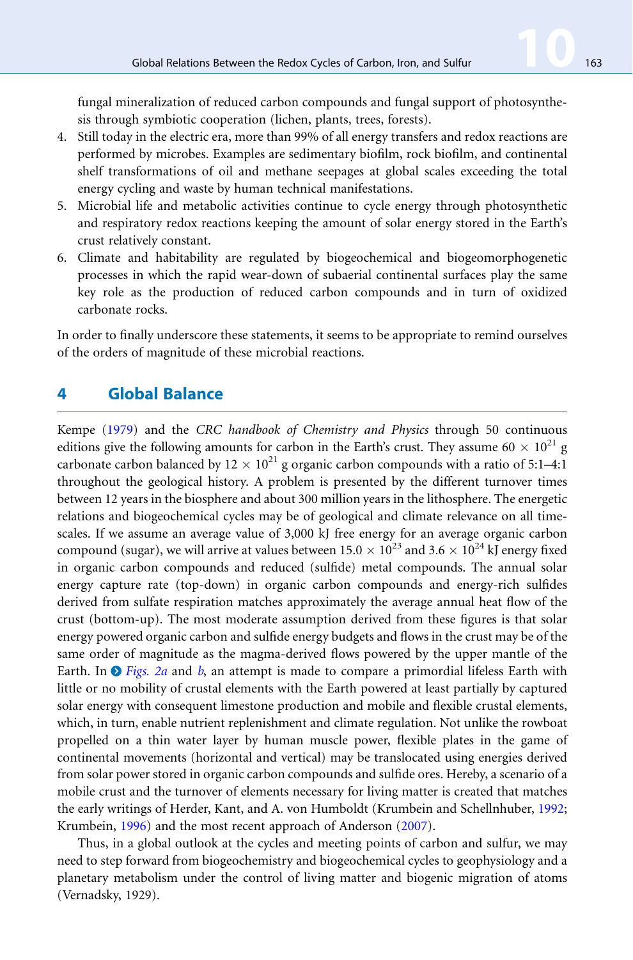fungal mineralization of reduced carbon compounds and fungal support of photosynthesis through symbiotic cooperation (lichen, plants, trees, forests).

- 4. Still today in the electric era, more than 99% of all energy transfers and redox reactions are performed by microbes. Examples are sedimentary biofilm, rock biofilm, and continental shelf transformations of oil and methane seepages at global scales exceeding the total energy cycling and waste by human technical manifestations.
- 5. Microbial life and metabolic activities continue to cycle energy through photosynthetic and respiratory redox reactions keeping the amount of solar energy stored in the Earth's crust relatively constant.
- 6. Climate and habitability are regulated by biogeochemical and biogeomorphogenetic processes in which the rapid wear-down of subaerial continental surfaces play the same key role as the production of reduced carbon compounds and in turn of oxidized carbonate rocks.

In order to finally underscore these statements, it seems to be appropriate to remind ourselves of the orders of magnitude of these microbial reactions.

# 4 Global Balance

Kempe [\(1979](#page-12-0)) and the CRC handbook of Chemistry and Physics through 50 continuous editions give the following amounts for carbon in the Earth's crust. They assume 60  $\times$  10<sup>21</sup> g carbonate carbon balanced by  $12 \times 10^{21}$  g organic carbon compounds with a ratio of 5:1–4:1 throughout the geological history. A problem is presented by the different turnover times between 12 years in the biosphere and about 300 million years in the lithosphere. The energetic relations and biogeochemical cycles may be of geological and climate relevance on all timescales. If we assume an average value of 3,000 kJ free energy for an average organic carbon compound (sugar), we will arrive at values between  $15.0 \times 10^{23}$  and  $3.6 \times 10^{24}$  kJ energy fixed in organic carbon compounds and reduced (sulfide) metal compounds. The annual solar energy capture rate (top-down) in organic carbon compounds and energy-rich sulfides derived from sulfate respiration matches approximately the average annual heat flow of the crust (bottom-up). The most moderate assumption derived from these figures is that solar energy powered organic carbon and sulfide energy budgets and flows in the crust may be of the same order of magnitude as the magma-derived flows powered by the upper mantle of the Earth. In  $\odot$  [Figs. 2a](#page-3-0) and [b](#page-8-0), an attempt is made to compare a primordial lifeless Earth with little or no mobility of crustal elements with the Earth powered at least partially by captured solar energy with consequent limestone production and mobile and flexible crustal elements, which, in turn, enable nutrient replenishment and climate regulation. Not unlike the rowboat propelled on a thin water layer by human muscle power, flexible plates in the game of continental movements (horizontal and vertical) may be translocated using energies derived from solar power stored in organic carbon compounds and sulfide ores. Hereby, a scenario of a mobile crust and the turnover of elements necessary for living matter is created that matches the early writings of Herder, Kant, and A. von Humboldt (Krumbein and Schellnhuber, [1992;](#page-12-0) Krumbein, [1996\)](#page-12-0) and the most recent approach of Anderson ([2007\)](#page-11-0).

Thus, in a global outlook at the cycles and meeting points of carbon and sulfur, we may need to step forward from biogeochemistry and biogeochemical cycles to geophysiology and a planetary metabolism under the control of living matter and biogenic migration of atoms (Vernadsky, 1929).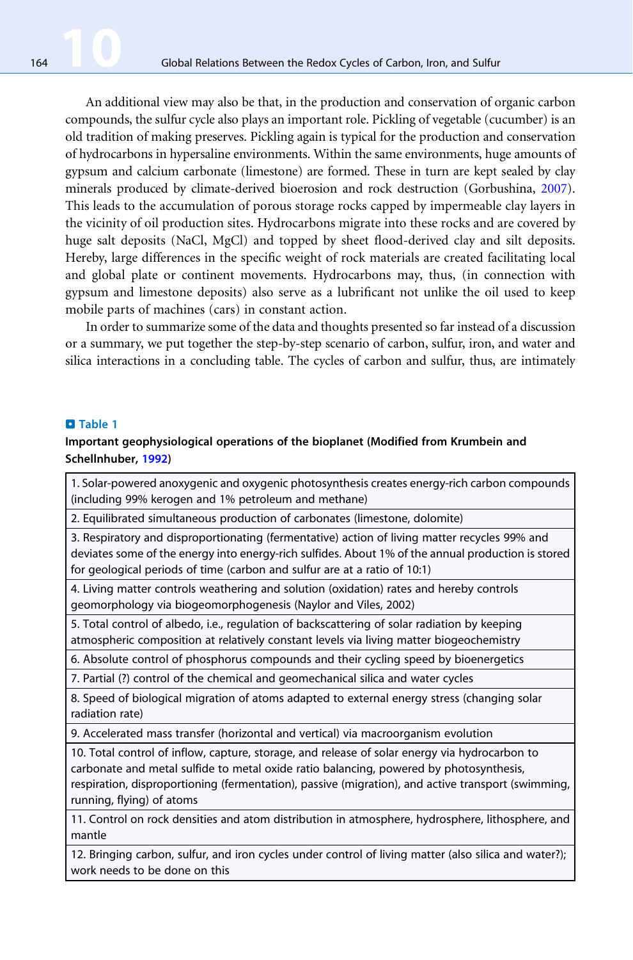<span id="page-7-0"></span>An additional view may also be that, in the production and conservation of organic carbon compounds, the sulfur cycle also plays an important role. Pickling of vegetable (cucumber) is an old tradition of making preserves. Pickling again is typical for the production and conservation of hydrocarbons in hypersaline environments. Within the same environments, huge amounts of gypsum and calcium carbonate (limestone) are formed. These in turn are kept sealed by clay minerals produced by climate-derived bioerosion and rock destruction (Gorbushina, [2007\)](#page-12-0). This leads to the accumulation of porous storage rocks capped by impermeable clay layers in the vicinity of oil production sites. Hydrocarbons migrate into these rocks and are covered by huge salt deposits (NaCl, MgCl) and topped by sheet flood-derived clay and silt deposits. Hereby, large differences in the specific weight of rock materials are created facilitating local and global plate or continent movements. Hydrocarbons may, thus, (in connection with gypsum and limestone deposits) also serve as a lubrificant not unlike the oil used to keep mobile parts of machines (cars) in constant action.

In order to summarize some of the data and thoughts presented so far instead of a discussion or a summary, we put together the step-by-step scenario of carbon, sulfur, iron, and water and silica interactions in a concluding table. The cycles of carbon and sulfur, thus, are intimately

#### **D** Table 1

## Important geophysiological operations of the bioplanet (Modified from Krumbein and Schellnhuber, [1992\)](#page-12-0)

1. Solar-powered anoxygenic and oxygenic photosynthesis creates energy-rich carbon compounds (including 99% kerogen and 1% petroleum and methane)

2. Equilibrated simultaneous production of carbonates (limestone, dolomite)

3. Respiratory and disproportionating (fermentative) action of living matter recycles 99% and deviates some of the energy into energy-rich sulfides. About 1% of the annual production is stored for geological periods of time (carbon and sulfur are at a ratio of 10:1)

4. Living matter controls weathering and solution (oxidation) rates and hereby controls geomorphology via biogeomorphogenesis (Naylor and Viles, 2002)

5. Total control of albedo, i.e., regulation of backscattering of solar radiation by keeping atmospheric composition at relatively constant levels via living matter biogeochemistry

6. Absolute control of phosphorus compounds and their cycling speed by bioenergetics

7. Partial (?) control of the chemical and geomechanical silica and water cycles

8. Speed of biological migration of atoms adapted to external energy stress (changing solar radiation rate)

9. Accelerated mass transfer (horizontal and vertical) via macroorganism evolution

10. Total control of inflow, capture, storage, and release of solar energy via hydrocarbon to carbonate and metal sulfide to metal oxide ratio balancing, powered by photosynthesis, respiration, disproportioning (fermentation), passive (migration), and active transport (swimming, running, flying) of atoms

11. Control on rock densities and atom distribution in atmosphere, hydrosphere, lithosphere, and mantle

12. Bringing carbon, sulfur, and iron cycles under control of living matter (also silica and water?); work needs to be done on this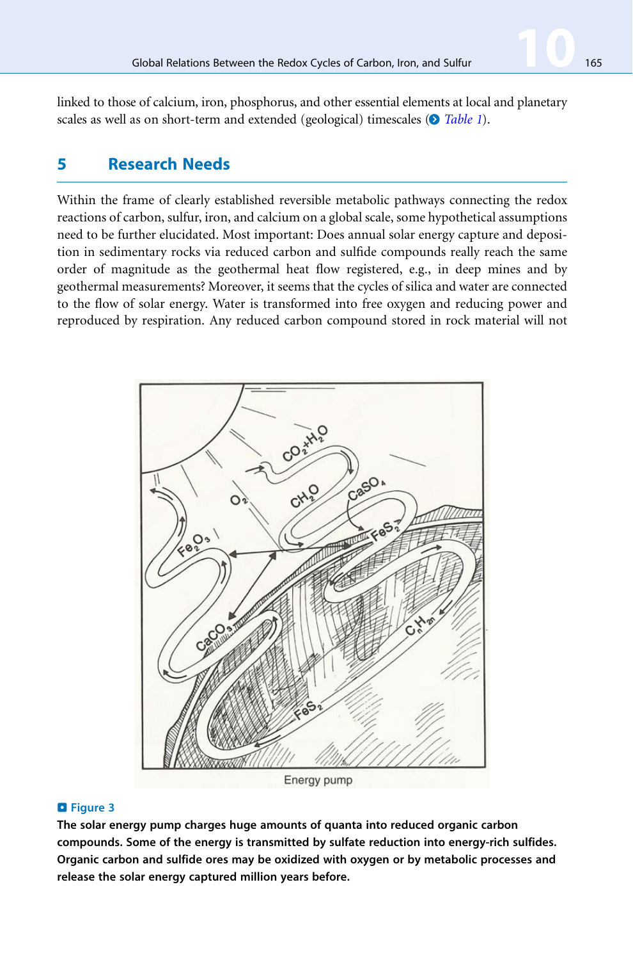<span id="page-8-0"></span>linked to those of calcium, iron, phosphorus, and other essential elements at local and planetary scales as well as on short-term and extended (geological) timescales  $(①$  [Table 1](#page-7-0)).

# 5 Research Needs

Within the frame of clearly established reversible metabolic pathways connecting the redox reactions of carbon, sulfur, iron, and calcium on a global scale, some hypothetical assumptions need to be further elucidated. Most important: Does annual solar energy capture and deposition in sedimentary rocks via reduced carbon and sulfide compounds really reach the same order of magnitude as the geothermal heat flow registered, e.g., in deep mines and by geothermal measurements? Moreover, it seems that the cycles of silica and water are connected to the flow of solar energy. Water is transformed into free oxygen and reducing power and reproduced by respiration. Any reduced carbon compound stored in rock material will not



Energy pump

## **D** Figure 3

The solar energy pump charges huge amounts of quanta into reduced organic carbon compounds. Some of the energy is transmitted by sulfate reduction into energy-rich sulfides. Organic carbon and sulfide ores may be oxidized with oxygen or by metabolic processes and release the solar energy captured million years before.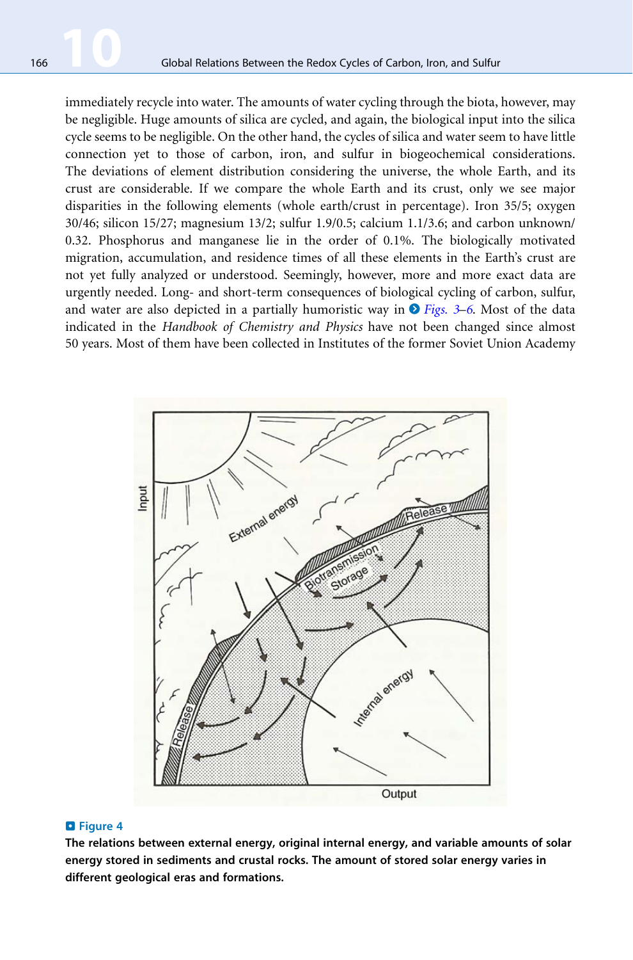immediately recycle into water. The amounts of water cycling through the biota, however, may be negligible. Huge amounts of silica are cycled, and again, the biological input into the silica cycle seems to be negligible. On the other hand, the cycles of silica and water seem to have little connection yet to those of carbon, iron, and sulfur in biogeochemical considerations. The deviations of element distribution considering the universe, the whole Earth, and its crust are considerable. If we compare the whole Earth and its crust, only we see major disparities in the following elements (whole earth/crust in percentage). Iron 35/5; oxygen 30/46; silicon 15/27; magnesium 13/2; sulfur 1.9/0.5; calcium 1.1/3.6; and carbon unknown/ 0.32. Phosphorus and manganese lie in the order of 0.1%. The biologically motivated migration, accumulation, and residence times of all these elements in the Earth's crust are not yet fully analyzed or understood. Seemingly, however, more and more exact data are urgently needed. Long- and short-term consequences of biological cycling of carbon, sulfur, and water are also depicted in a partially humoristic way in  $\bullet$  [Figs. 3](#page-8-0)–[6](#page-11-0). Most of the data indicated in the Handbook of Chemistry and Physics have not been changed since almost 50 years. Most of them have been collected in Institutes of the former Soviet Union Academy



#### **D** Figure 4

The relations between external energy, original internal energy, and variable amounts of solar energy stored in sediments and crustal rocks. The amount of stored solar energy varies in different geological eras and formations.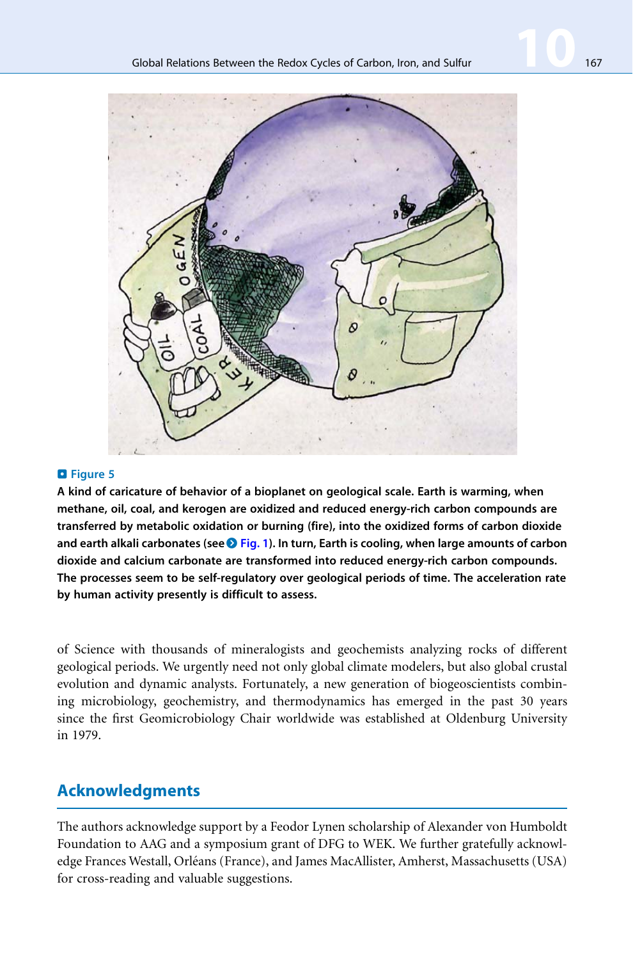

A kind of caricature of behavior of a bioplanet on geological scale. Earth is warming, when methane, oil, coal, and kerogen are oxidized and reduced energy-rich carbon compounds are transferred by metabolic oxidation or burning (fire), into the oxidized forms of carbon dioxide and earth alkali carbonates (see  $\bigcirc$  [Fig. 1\)](#page-2-0). In turn, Earth is cooling, when large amounts of carbon dioxide and calcium carbonate are transformed into reduced energy-rich carbon compounds. The processes seem to be self-regulatory over geological periods of time. The acceleration rate by human activity presently is difficult to assess.

of Science with thousands of mineralogists and geochemists analyzing rocks of different geological periods. We urgently need not only global climate modelers, but also global crustal evolution and dynamic analysts. Fortunately, a new generation of biogeoscientists combining microbiology, geochemistry, and thermodynamics has emerged in the past 30 years since the first Geomicrobiology Chair worldwide was established at Oldenburg University in 1979.

# Acknowledgments

The authors acknowledge support by a Feodor Lynen scholarship of Alexander von Humboldt Foundation to AAG and a symposium grant of DFG to WEK. We further gratefully acknowledge Frances Westall, Orléans (France), and James MacAllister, Amherst, Massachusetts (USA) for cross-reading and valuable suggestions.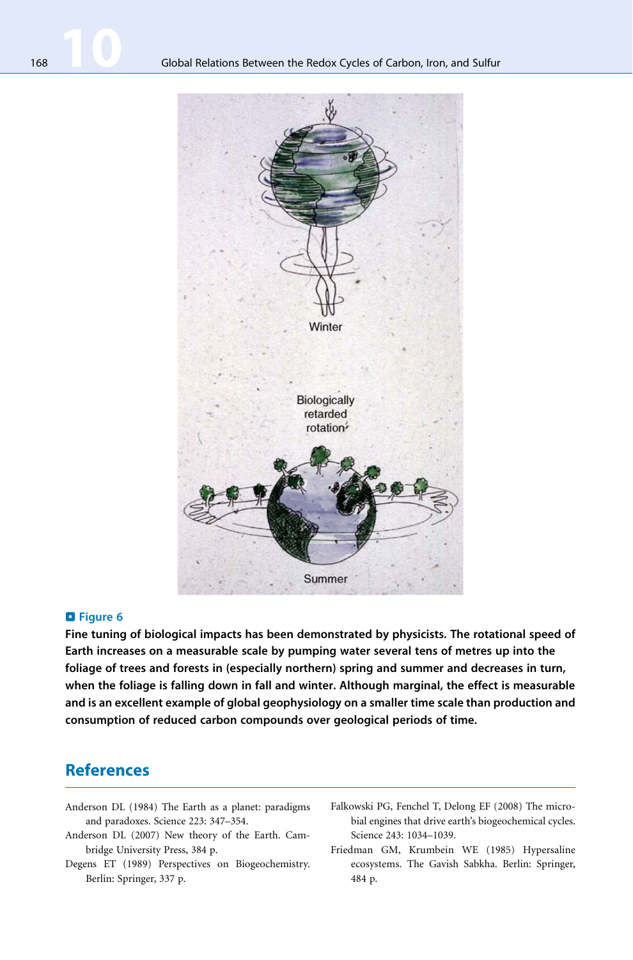<span id="page-11-0"></span>

Fine tuning of biological impacts has been demonstrated by physicists. The rotational speed of Earth increases on a measurable scale by pumping water several tens of metres up into the foliage of trees and forests in (especially northern) spring and summer and decreases in turn, when the foliage is falling down in fall and winter. Although marginal, the effect is measurable and is an excellent example of global geophysiology on a smaller time scale than production and consumption of reduced carbon compounds over geological periods of time.

# **References**

- Anderson DL (1984) The Earth as a planet: paradigms and paradoxes. Science 223: 347–354.
- Anderson DL (2007) New theory of the Earth. Cambridge University Press, 384 p.
- Degens ET (1989) Perspectives on Biogeochemistry. Berlin: Springer, 337 p.
- Falkowski PG, Fenchel T, Delong EF (2008) The microbial engines that drive earth's biogeochemical cycles. Science 243: 1034–1039.
- Friedman GM, Krumbein WE (1985) Hypersaline ecosystems. The Gavish Sabkha. Berlin: Springer, 484 p.